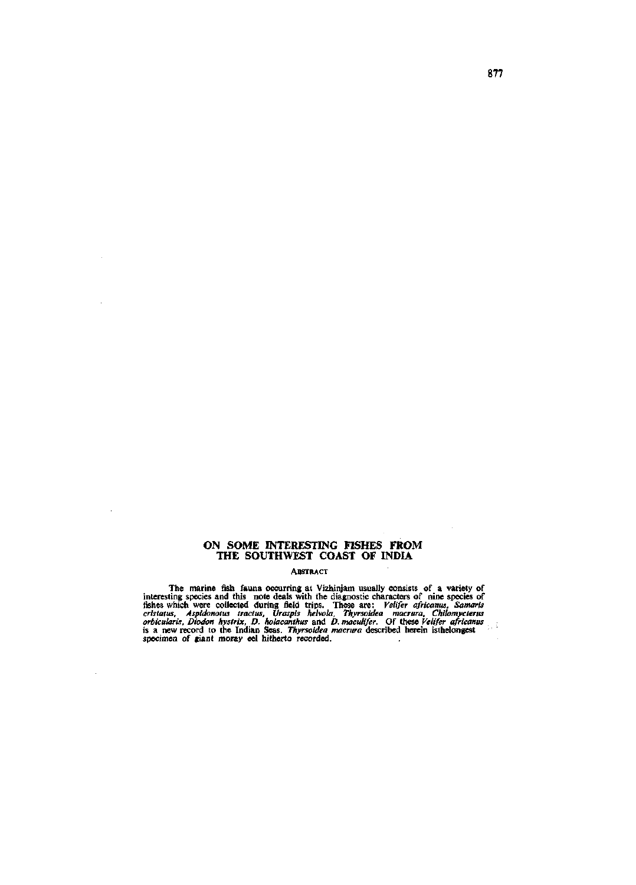# ON SOME INTERESTING FISHES FROM THE SOUTHWEST COAST OF INDIA

 $\bar{a}$ 

 $\bar{z}$ 

 $\ddot{\phantom{a}}$ 

 $\bar{z}$ 

## ABSTRACT

The marine fish fauna occurring at Vizhinjam usually consists of a variety of interesting species and this note deals with the diagnostic characters of nine species of fishes which were collected during field trips. These

 $\bar{z}$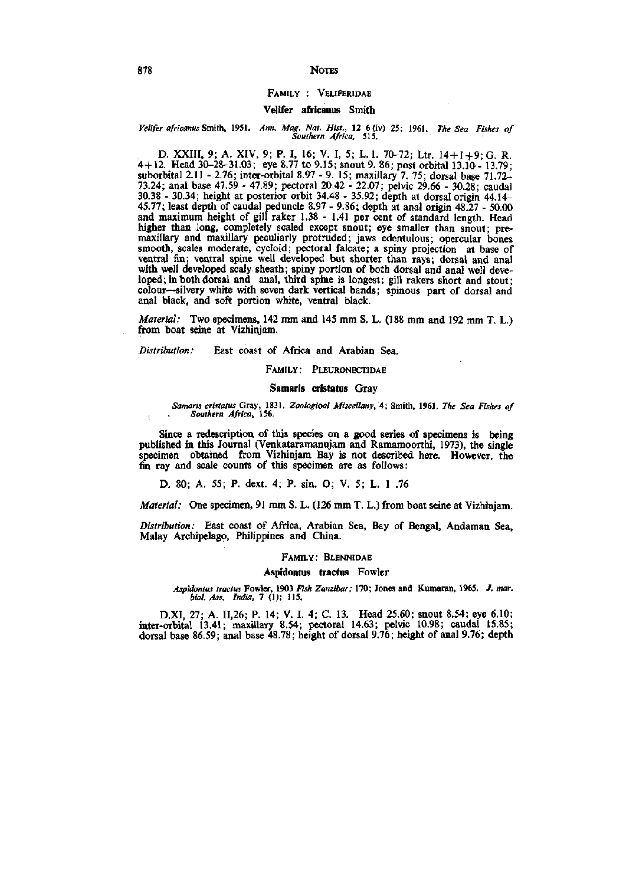## FAMILY : VELIFERIDAE

## Velifer africanus Smith

#### *Velifer africanus Smith,* 1951. *Ann. Mag. Nat. Hist.,* 12 6 (iv) 25; 1961. *The Sea Fishes of Southern Africa,* 515.

D. XXIII, 9; A. XIV, 9; P. I, 16; V. I, 5; L. 1. 70-72; Ltr. 14+1+9;G. R. 4+12. Head 3Q-28-31.03; eye 8.77 to 9.15; snout 9. 86; post orbital 13.10'- 13.79; suborbital 2.11 - 2.76; inter-orbital 8.97 - 9. 15; maxillary 7. 75; dorsal base 71.72- 73.24; anal base 47.59 - 47.89; pectoral 20.42 - 22.07; pelvic 29.66 - 30.28; caudal 30.38 - 30.34; height at posterior orbit 34.48 - 35.92; depth at dorsal origin 44.14- 45.77; least depth of caudal peduncle 8.97 - 9.86; depth at anal origin 48.27 - 50.00 and maximum height of gill raker 1.38 - 1.41 per cent of standard length. Head higher than long, completely scaled except snout; eye smaller than snout; premaxillary and maxillary peculiarly protruded; jaws edentulous; opercular bones smooth, scales moderate, cycloid; pectoral falcate; a spiny projection at base of ventral fin; ventral spine well developed but shorter than rays; dorsal and anal with well developed scaly sheath; spiny portion of both dorsal and anal well developed; in both dorsal and anal, third spine is longest; gill rakers short and stout; colour—silvery white with seven dark vertical bands; spinous part of dorsal and anal black, and soft portion white, ventral black.

*Material:* Two specimens, 142 mm and 145 mm S. L. (188 mm and 192 mm T. L.) from boat seine at Vizhinjam.

*Distribution:* East coast of Africa and Arabian Sea.

#### FAMILY: PLEURONECTIDAE

#### Samaris cristatus Gray

#### *Samaris cristatus* Gray, 1831. *Zoologioai Miscellany,* 4; Smith, 1961. *The Sea Fi.ihes of Southern Africa,* 156.

Since a redescription of this species on a good series of specimens is being published in this Journal (Venkataramanujam and Ramamoorthi, 1973), the single specimen obtained from Vizhinjam Bay is not described here. However, the fin ray and scale counts of this specimen are as follows:

D. 80; A. 55; P. dext. 4; P. sin. O; V. 5; L. 1 .76

*Material:* One specimen, 91 mm S. L. (126 mm T. L.) from boat seine at Vizhinjam.

*Distribution:* East coast of Africa, Arabian Sea, Bay of Bengal, Andaman Sea, Malay Archipelago, Philippines and China.

#### FAMILY: BLENNIDAE

### Aspidontus tractus Fowler

*Aspidontus tractus* Fowler, 1903 *Fish Zanzibar;* **170; Jones and Kumaran, 1965. /.** *mar. biol. Ass. India.* 7 (1): 115.

D.XI, 27; A. 11,26; P. 14; V. I. 4; C. 13. Head 25.60; snout 8.54; eye 6.10; inter-orbital 13.41; maxillary 8.54; pectoral 14.63; pelvic 10.98; caudal 15.85; dorsal base 86.59; anal base 48.78; height of dorsal 9.76; height of anal 9.76; depth

 $\cdot$  ;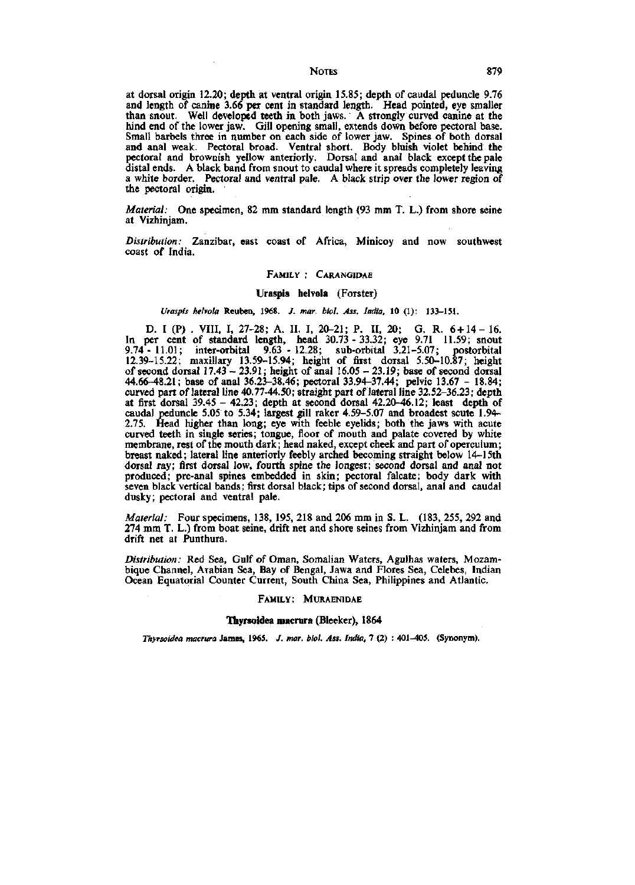at dorsal origin 12.20; depth at ventral origin 15.85; depth of caudal peduncle 9.76 and length of canine 3.66 per cent in standard length. Head pointed, eye smaller than snout. Well developed teeth in both jaws. A strongly curved canine at the hind end of the lower jaw. Gill opening small, extends down before pectoral base. Small barbels three in number on each side of lower jaw. Spines of both dorsal and anal weak. Pectoral broad. Ventral short. Body bluish violet behind the pectoral and brownish yellow anteriorly. Dorsal and anal black except the pale distal ends. A black band from snout to caudal where it spreads completely leaving a white border. Pectoral and ventral pale. A black strip over the lower region of the pectoral origin.

*Material:* One specimen, 82 mm standard length (93 mm T. L.) from shore seine at Vizhinjam,

*Distribution:* Zanzibar, east coast of Africa, Minicoy and now southwest coast of India.

## FAMILY : CARANGIDAE

#### Uraspis helvola (Forster)

# *Uraspis helvola* Reuben, 1968. /. *mar. biol. Ass. India.* 10 (1): 133-151.

D. I (P) . VIII, I, 27-28; A. II. I, 20-21; P. II, 20; G. R. 6+14 - 16. In per cent of standard length, head 30.73 - 33.32; eye 9.71 11.59; snout<br>9.74 - 11.01; inter-orbital 9.63 - 12.28; sub-orbital 3.21-5.07; postorbital 9.74-11.01; inter-orbital 9.63-12.28; sub-orbital 3.21-5.07; postorbital 12.39-15.22; maxillary 13.59-15.94; height of first dorsal 5.50-10.87; height of second dorsal  $17.43 - 23.91$ ; height of anal  $16.05 - 23.19$ ; base of second dorsal 44.66-48.21; base of anal 36.23-38.46; pectoral 33.94-37.44; pelvic 13.67 - 18.84; curved part of lateral line 40.77-44.50; straight part of lateral line 32.52-36.23; depth at first dorsal 39.45 - 42.23; depth at second dorsal 42.20-46.12; least depth of caudal peduncle 5.05 to 5.34; largest gill raker 4.59-5.07 and broadest scute 1.94- 2.75. Head higher than long; eye with feeble eyelids; both the jaws with acute curved teeth in single series; tongue, floor of mouth and palate covered by white membrane, rest of the mouth dark; head naked, except cheek and part of operculum; breast naked; lateral line anteriorly feebly arched becoming straight below 14-15th dorsal ray; first dorsal low, fourth spine the longest; second dorsal and anal not produced; pre-anal spines embedded in skin; pectoral falcate; body dark with seven black vertical bands; first dorsal black; tips of second dorsal, anal and caudal dusky; pectoral and ventral pale.

*Material:* Four specimens, 138, 195, 218 and 206 mm in S. L. (183, 255, 292 and 274 mm T. L.) from boat seine, drift net and shore seines from Vizhinjam and from drift net at Punthura.

*Distribution:* Red Sea, Gulf of Oman, Somalian Waters, Agulhas waters, Mozambique Channel, Arabian Sea, Bay of Bengal, Jawa and Flores Sea, Celebes, Indian Ocean Equatorial Counter Current, South China Sea, Philippines and Atlantic.

#### FAMILY: MURAENIDAE

## Thyrsoidea macrura (Bleeker), 1864

*Thyrsoidea macrura* James, 1965. /. *mar. biol. Ass. India,* 7 (2) : 401-405. (Synonym).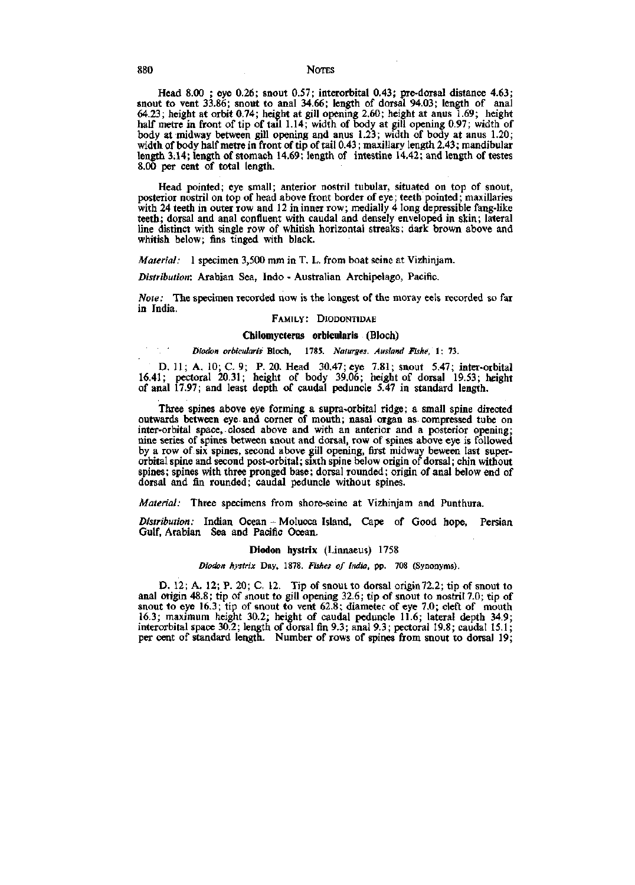Head 8.00 ; eye 0.26; snout 0.57; interorbital 0.43; pre-dorsal distance 4.63; snout to vent 33.86; snout to anal 34.66; length of dorsal 94.03; length of anal 64.23; height at orbit 0.74; height at gill opening 2.60; height at anus 1.69; height half metre in front of tip of tail 1.14; width of body at gill opening 0.97; width of body at midway between gill opening and anus 1.23; width of body at anus 1.20; width of body half metre in front of tip of tail 0.43; maxillary length 2.43; mandibular length 3.14; length of stomach 14.69; length of intestine 14.42; and length of testes 8.00 per cent of total length.

Head pointed; eye small; anterior nostril tubular, situated on top of snout, posterior nostril on top of head above front border of eye; teeth pointed; maxillaries with 24 teeth in outer row and 12 in inner row; medially 4 long depressible fang-like teeth; dorsal and anal confluent with caudal and densely enveloped in skin; lateral line distinct with single row of whitish horizontal streaks; dark brown above and whitish below; fins tinged with black.

*Material:* 1 specimen 3,500 mm in T. L. from boat seine at Vizhinjam.

*Distribution:* Arabian Sea, Indo - Australian Archipelago, Pacific.

*Note:* The specimen recorded now is the longest of the moray eels recorded so far in India.

## FAMILY: DIODONTIDAE

#### **Chilomycteras orbicularis** (Bloch)

### *Diodon orbicularis* Bloch, 1785. *Naturges. Ausland Fishe, \: Ti.*

D. 11; A. 10; C. 9; P. 20. Head 30.47; eye 7.81; snout 5.47; inter-orbital 16.41; pectoral 20.31; height of body 39.06; height of dorsal 19.53; height of anal 17.97; and least depth of caudal peduncle 5.47 in standard length.

Three spines above eye forming a supra-orbital ridge; a small spine directed outwards between eye and corner of mouth; nasal organ as compressed tube on inter-orbital space, closed above and with an anterior and a posterior opening; nine series of spines between snout and dorsal, row of spines above eye is followed by a row of six spines, second above gill opening, first midway beween last superorbital spine and second post-orbital; sixth spine below origin of dorsal; chin without spines; spines with three pronged base; dorsal rounded; origin of anal below end of dorsal and fin rounded; caudal peduncle without spines.

*Material:* Three specimens from shore-seine at Vizhinjam and Punthura.

*Distribution:* Indian Ocean - Molucca Island, Cape of Good hope, Persian Gulf, Arabian Sea and Pacific Ocean.

#### Diodon hystrix (Linnaeus) 1758

*Diodon hystrix* Day, 1878. *Fishes of India,* pp. 708 (Synonyms).

D. 12; A. 12; P. 20; C. 12. Tip of snout to dorsal origin72.2; tip of snout to anal origin 48.8; tip of snout to gill opening 32.6; tip of snout to nostril 7.0; tip of snout to eye 16.3; tip of snout to vent 62.8; diameter of eye 7.0; cleft of mouth 16.3; maximum height 30.2; height of caudal peduncle 11.6; lateral depth 34.9 interorbital space 30.2; length of dorsal fin 9.3; anal 9.3; pectoral 19.8; caudal 15.1; per cent of standard length. Number of rows of spines from snout to dorsal 19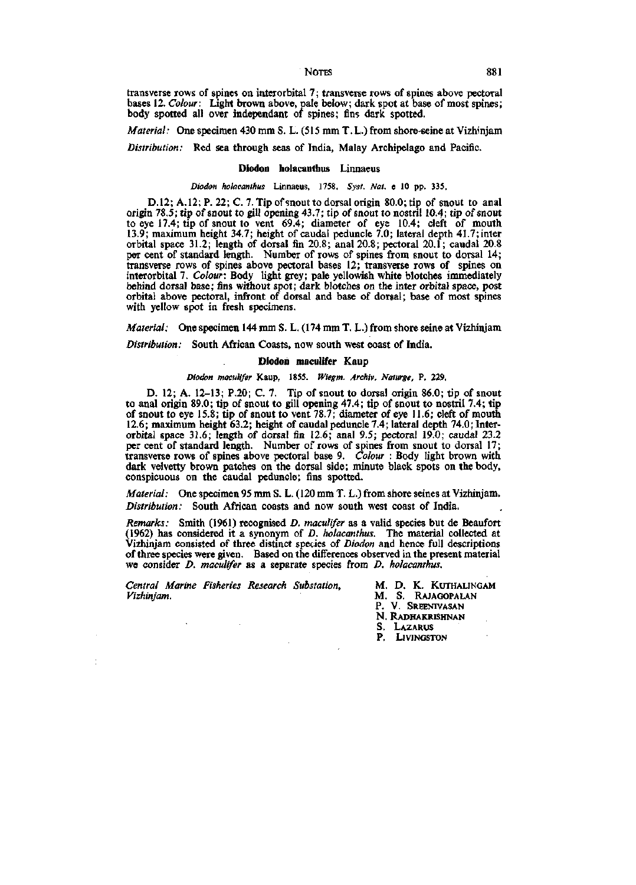transverse rows of spines on interorbital 7; transverse rows of spines above pectoral bases 12. *Colour:* Light brown above, pale below; dark spot at base of most spines; body spotted all over independant of spines; fins dark spotted.

*Material:* One specimen 430 mm S. L. (515 mm T. L.) from shore-seine at Vizhinjam

*Distribution:* Red sea through seas of India, Malay Archipelago and Pacific.

#### Diodon holacanthus Linnaeus

### *Diodon holacanthus* **Linnaeus, 1758.** *Syst. Nat.* **e 10 pp. 335.**

D.12; A. 12; P. 22; C. 7. Tip of snout to dorsal origin 80.0; tip of snout to anal origin 78,5; tip of snout to gill opening 43.7; tip of snout to nostril 10.4; tip of snout to eye 17.4; tip of snout to vent 69.4; diameter of eye 10.4; cleft of mouth 13.9; maximum height 34.7; height of caudal peduncle 7.0; lateral depth 41.7; inter orbital space 31.2; length of dorsal fin 20.8; anal 20.8; pectoral 20.1; caudal 20.8 per cent of standard length. Number of rows of spines from snout to dorsal 14; transverse rows of spines above pectoral bases 12; transverse rows of spines on interorbital 7. *Colour:* Body light grey; pale yellowish white blotches immediately behind dorsal base; fins without spot; dark blotches on the inter orbital space, post orbital above pectoral, infront of dorsal and base of dorsal; base of most spines with yellow spot in fresh specimens.

*Material:* One specimen 144 mm S. L. (174 mm T. L.) from shore seine at Vizhinjam

*Distribution:* South African Coasts, now south west coast of India.

#### Diodon maculifer Kaup

#### *Diodon maculifer* **Kaup, 1855.** *Wiegm. Archiv. Naturge,* **P. 229,**

D. 12; A. 12-13; P.20; C. 7. Tip of snout to dorsal origin 86.0; tip of snout to anal origin 89.0; tip of snout to gill opening 47.4; tip of snout to nostril 7.4; tip of snout to eye 15.8; tip of snout to vent 78.7; diameter of eye 11.6; cleft of mouth 12.6; maximum height 63.2; height of caudal peduncle 7.4; lateral depth 74.0; Interorbital space 31.6; length of dorsal fin 12.6; anal 9.5; pectoral 19.0; caudal 23.2 per cent of standard length. Number of rows of spines from snout to dorsal 17; transverse rows of spines above pectoral base 9, *Colour :* Body light brown with dark velvetty brown patches on the dorsal side; minute black spots on the body, conspicuous on the caudal peduncle; fins spotted.

*Material:* One specimen 95 mm S. L. (120 mm T. L.) from shore seines at Vizhinjam. *Distribution:* South African coasts and now south west coast of India.

*Remarks:* Smith (1961) recognised *D. maculifer* as a valid species but de Beaufort (1962) has considered it a synonym of *D. holacanthus.* The material collected at Vizhinjam consisted of three distinct species of *Diodon* and hence full descriptions of three species were given. Based on the differences observed in the present material we consider *D. maculifer* as a separate species from *D. holacanthus.* 

*Central Marine Fisheries Research Substation,* M. D. K. KUTHALINGAM *Vizhinjam.* M. S. RAJAGOPALAN

P. V. SREENIVASAN N. RADHAKRISHNAN S. LAZARUS

P. LIVINGSTON